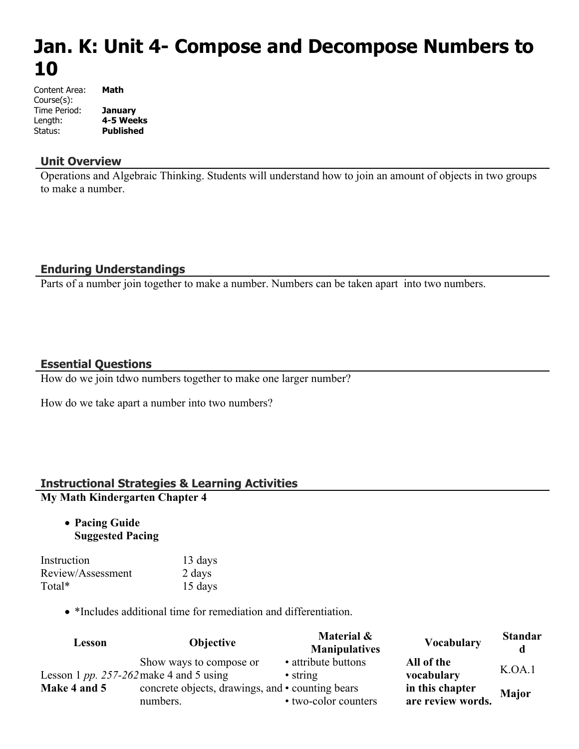# **Jan. K: Unit 4- Compose and Decompose Numbers to 10**

| Content Area: | Math             |
|---------------|------------------|
| Course(s):    |                  |
| Time Period:  | <b>January</b>   |
| Length:       | 4-5 Weeks        |
| Status:       | <b>Published</b> |

#### **Unit Overview**

Operations and Algebraic Thinking. Students will understand how to join an amount of objects in two groups to make a number.

#### **Enduring Understandings**

Parts of a number join together to make a number. Numbers can be taken apart into two numbers.

#### **Essential Questions**

How do we join tdwo numbers together to make one larger number?

How do we take apart a number into two numbers?

# **Instructional Strategies & Learning Activities**

### **My Math Kindergarten Chapter 4**

 **Pacing Guide Suggested Pacing**

| Instruction       | 13 days |
|-------------------|---------|
| Review/Assessment | 2 days  |
| Total*            | 15 days |

• \*Includes additional time for remediation and differentiation.

| Lesson                                  | Objective                                                    | Material &<br><b>Manipulatives</b>      | <b>Vocabulary</b>                    | <b>Standar</b><br>d |
|-----------------------------------------|--------------------------------------------------------------|-----------------------------------------|--------------------------------------|---------------------|
| Lesson 1 pp. 257-262 make 4 and 5 using | Show ways to compose or                                      | • attribute buttons<br>$\bullet$ string | All of the<br>vocabulary             | K.OA.1              |
| Make 4 and 5                            | concrete objects, drawings, and • counting bears<br>numbers. | • two-color counters                    | in this chapter<br>are review words. | <b>Major</b>        |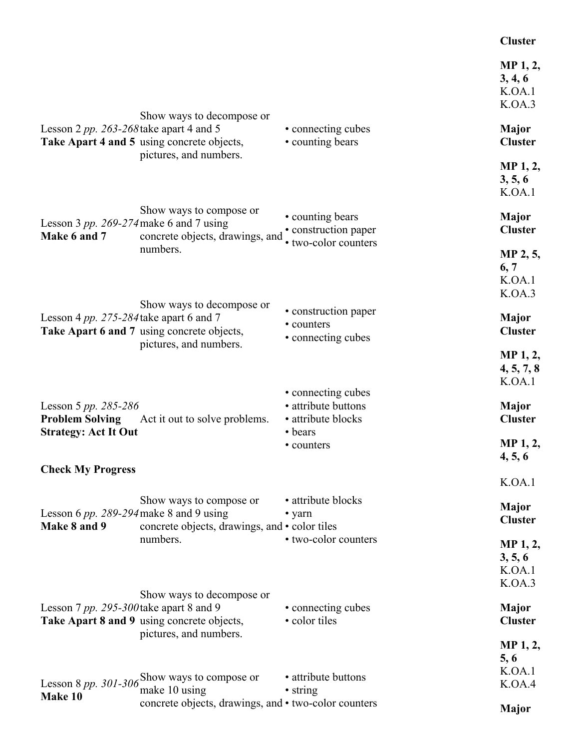#### **Cluster**

|                                                           |                                                                                                   |                                                                  | MP 1, 2,<br>3, 4, 6<br>K.OA.1<br>K.OA.3             |
|-----------------------------------------------------------|---------------------------------------------------------------------------------------------------|------------------------------------------------------------------|-----------------------------------------------------|
| Lesson 2 pp. 263-268 take apart 4 and 5                   | Show ways to decompose or<br>Take Apart 4 and 5 using concrete objects,<br>pictures, and numbers. | • connecting cubes<br>• counting bears                           | <b>Major</b><br><b>Cluster</b>                      |
|                                                           |                                                                                                   |                                                                  | MP 1, 2,<br>3, 5, 6<br>K.OA.1                       |
| Lesson 3 pp. 269-274 make 6 and 7 using<br>Make 6 and 7   | Show ways to compose or<br>concrete objects, drawings, and                                        | • counting bears<br>• construction paper<br>• two-color counters | <b>Major</b><br><b>Cluster</b>                      |
|                                                           | numbers.                                                                                          |                                                                  | MP 2, 5,<br>6, 7<br>K.OA.1<br>K.OA.3                |
| Lesson 4 pp. 275-284 take apart 6 and 7                   | Show ways to decompose or                                                                         | • construction paper<br>• counters                               | Major                                               |
|                                                           | Take Apart 6 and 7 using concrete objects,<br>pictures, and numbers.                              | • connecting cubes                                               | <b>Cluster</b>                                      |
|                                                           |                                                                                                   |                                                                  | MP 1, 2,<br>4, 5, 7, 8<br>K.OA.1                    |
| Lesson 5 pp. 285-286                                      |                                                                                                   | • connecting cubes<br>• attribute buttons                        | Major                                               |
| <b>Problem Solving</b><br><b>Strategy: Act It Out</b>     | Act it out to solve problems.                                                                     | · attribute blocks<br>• bears                                    | <b>Cluster</b>                                      |
|                                                           |                                                                                                   | • counters                                                       | MP 1, 2,<br>4, 5, 6                                 |
| <b>Check My Progress</b>                                  |                                                                                                   |                                                                  | K.OA.1                                              |
| Lesson 6 $pp. 289-294$ make 8 and 9 using<br>Make 8 and 9 | Show ways to compose or<br>concrete objects, drawings, and • color tiles                          | · attribute blocks<br>• yarn                                     | <b>Major</b><br><b>Cluster</b>                      |
|                                                           | numbers.                                                                                          | • two-color counters                                             | MP <sub>1</sub> , 2,<br>3, 5, 6<br>K.OA.1<br>K.OA.3 |
| Lesson 7 pp. 295-300 take apart 8 and 9                   | Show ways to decompose or<br>Take Apart 8 and 9 using concrete objects,                           | • connecting cubes<br>• color tiles                              | <b>Major</b><br><b>Cluster</b>                      |
|                                                           | pictures, and numbers.                                                                            |                                                                  | <b>MP</b> 1, 2,<br>5, 6<br>K.OA.1                   |
| Lesson 8 pp. 301-306<br>Make 10                           | Show ways to compose or<br>make 10 using                                                          | • attribute buttons<br>• string                                  | K.OA.4                                              |
|                                                           | concrete objects, drawings, and • two-color counters                                              |                                                                  | <b>Major</b>                                        |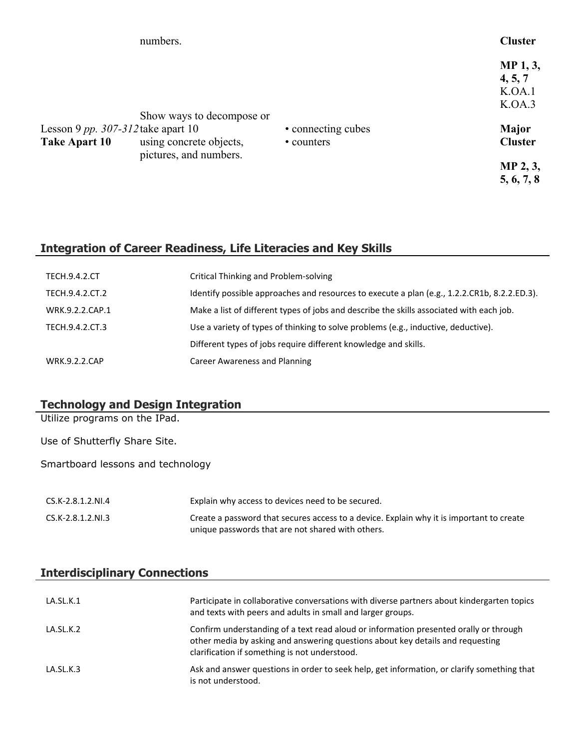|                                                       | numbers.                                             |                                  | <b>Cluster</b>                          |
|-------------------------------------------------------|------------------------------------------------------|----------------------------------|-----------------------------------------|
|                                                       |                                                      |                                  | MP 1, 3,<br>4, 5, 7<br>K.OA.1<br>K.OA.3 |
| Lesson 9 pp. $307-312$ take apart 10<br>Take Apart 10 | Show ways to decompose or<br>using concrete objects, | • connecting cubes<br>• counters | Major<br><b>Cluster</b>                 |
|                                                       | pictures, and numbers.                               |                                  | MP 2, 3,<br>5, 6, 7, 8                  |

## **Integration of Career Readiness, Life Literacies and Key Skills**

| <b>TECH.9.4.2.CT</b> | <b>Critical Thinking and Problem-solving</b>                                                 |
|----------------------|----------------------------------------------------------------------------------------------|
| TECH.9.4.2.CT.2      | Identify possible approaches and resources to execute a plan (e.g., 1.2.2.CR1b, 8.2.2.ED.3). |
| WRK.9.2.2.CAP.1      | Make a list of different types of jobs and describe the skills associated with each job.     |
| TECH.9.4.2.CT.3      | Use a variety of types of thinking to solve problems (e.g., inductive, deductive).           |
|                      | Different types of jobs require different knowledge and skills.                              |
| <b>WRK.9.2.2.CAP</b> | Career Awareness and Planning                                                                |

## **Technology and Design Integration**

Utilize programs on the IPad.

Use of Shutterfly Share Site.

Smartboard lessons and technology

| CS.K-2.8.1.2.NI.4 | Explain why access to devices need to be secured.                                                                                             |
|-------------------|-----------------------------------------------------------------------------------------------------------------------------------------------|
| CS.K-2.8.1.2.NI.3 | Create a password that secures access to a device. Explain why it is important to create<br>unique passwords that are not shared with others. |

## **Interdisciplinary Connections**

| LA.SL.K.1 | Participate in collaborative conversations with diverse partners about kindergarten topics<br>and texts with peers and adults in small and larger groups.                                                                |
|-----------|--------------------------------------------------------------------------------------------------------------------------------------------------------------------------------------------------------------------------|
| LA.SL.K.2 | Confirm understanding of a text read aloud or information presented orally or through<br>other media by asking and answering questions about key details and requesting<br>clarification if something is not understood. |
| LA.SL.K.3 | Ask and answer questions in order to seek help, get information, or clarify something that<br>is not understood.                                                                                                         |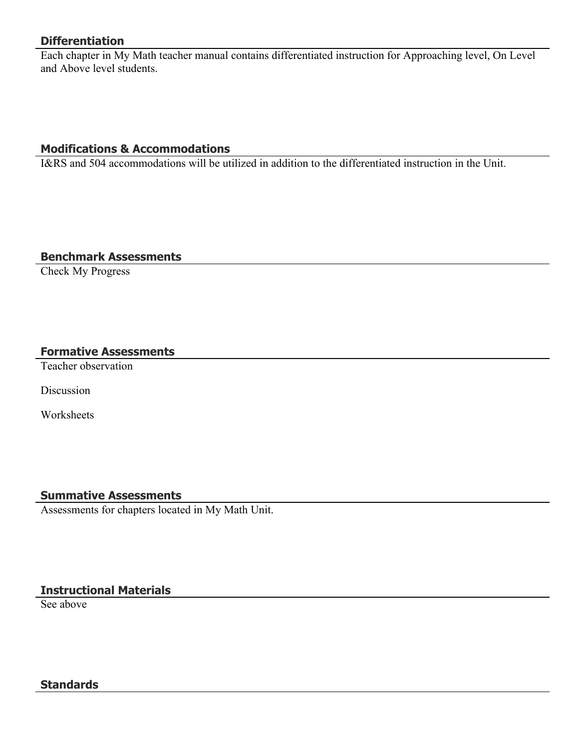## **Differentiation**

Each chapter in My Math teacher manual contains differentiated instruction for Approaching level, On Level and Above level students.

## **Modifications & Accommodations**

I&RS and 504 accommodations will be utilized in addition to the differentiated instruction in the Unit.

#### **Benchmark Assessments**

Check My Progress

#### **Formative Assessments**

Teacher observation

Discussion

**Worksheets** 

# **Summative Assessments**

Assessments for chapters located in My Math Unit.

# **Instructional Materials**

See above

#### **Standards**